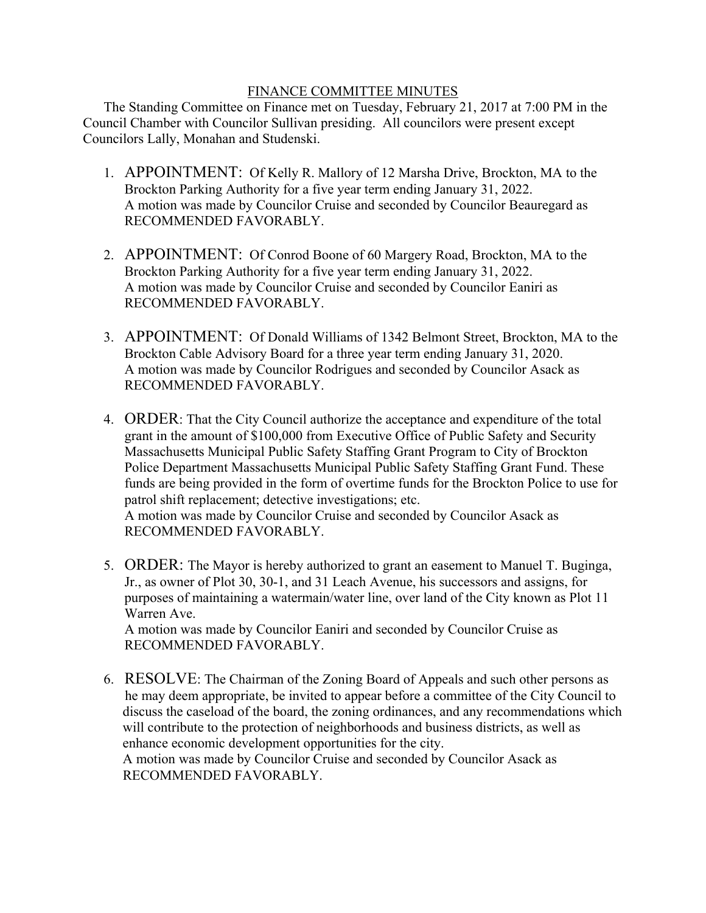## FINANCE COMMITTEE MINUTES

 The Standing Committee on Finance met on Tuesday, February 21, 2017 at 7:00 PM in the Council Chamber with Councilor Sullivan presiding. All councilors were present except Councilors Lally, Monahan and Studenski.

- 1. APPOINTMENT: Of Kelly R. Mallory of 12 Marsha Drive, Brockton, MA to the Brockton Parking Authority for a five year term ending January 31, 2022. A motion was made by Councilor Cruise and seconded by Councilor Beauregard as RECOMMENDED FAVORABLY.
- 2. APPOINTMENT: Of Conrod Boone of 60 Margery Road, Brockton, MA to the Brockton Parking Authority for a five year term ending January 31, 2022. A motion was made by Councilor Cruise and seconded by Councilor Eaniri as RECOMMENDED FAVORABLY.
- 3. APPOINTMENT: Of Donald Williams of 1342 Belmont Street, Brockton, MA to the Brockton Cable Advisory Board for a three year term ending January 31, 2020. A motion was made by Councilor Rodrigues and seconded by Councilor Asack as RECOMMENDED FAVORABLY.
- 4. ORDER: That the City Council authorize the acceptance and expenditure of the total grant in the amount of \$100,000 from Executive Office of Public Safety and Security Massachusetts Municipal Public Safety Staffing Grant Program to City of Brockton Police Department Massachusetts Municipal Public Safety Staffing Grant Fund. These funds are being provided in the form of overtime funds for the Brockton Police to use for patrol shift replacement; detective investigations; etc. A motion was made by Councilor Cruise and seconded by Councilor Asack as RECOMMENDED FAVORABLY.
- 5. ORDER: The Mayor is hereby authorized to grant an easement to Manuel T. Buginga, Jr., as owner of Plot 30, 30-1, and 31 Leach Avenue, his successors and assigns, for purposes of maintaining a watermain/water line, over land of the City known as Plot 11 Warren Ave.

A motion was made by Councilor Eaniri and seconded by Councilor Cruise as RECOMMENDED FAVORABLY.

6. RESOLVE: The Chairman of the Zoning Board of Appeals and such other persons as he may deem appropriate, be invited to appear before a committee of the City Council to discuss the caseload of the board, the zoning ordinances, and any recommendations which will contribute to the protection of neighborhoods and business districts, as well as enhance economic development opportunities for the city. A motion was made by Councilor Cruise and seconded by Councilor Asack as RECOMMENDED FAVORABLY.